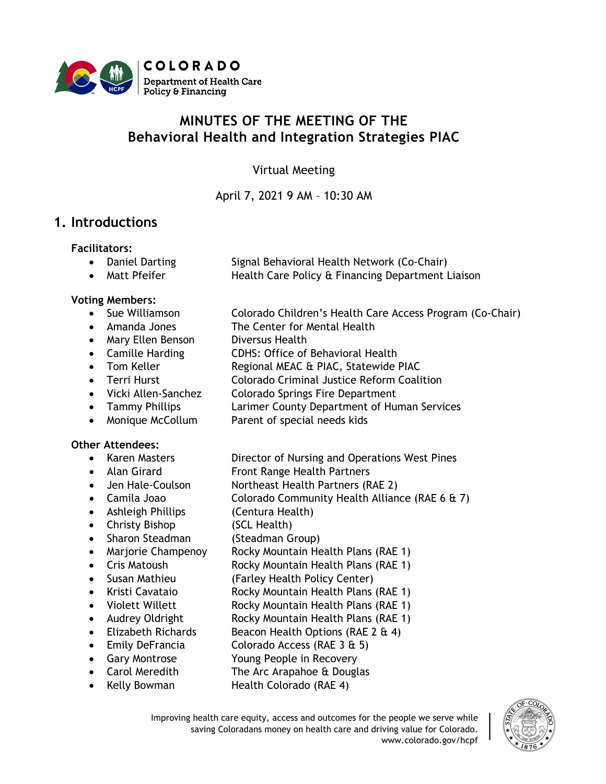

# **MINUTES OF THE MEETING OF THE Behavioral Health and Integration Strategies PIAC**

Virtual Meeting

April 7, 2021 9 AM – 10:30 AM

## **1. Introductions**

**Facilitators:**

- Daniel Darting Signal Behavioral Health Network (Co-Chair)
- Matt Pfeifer **Health Care Policy & Financing Department Liaison**

#### **Voting Members:**

- Sue Williamson Colorado Children's Health Care Access Program (Co-Chair)
- Amanda Jones The Center for Mental Health
- Mary Ellen Benson Diversus Health
- Camille Harding CDHS: Office of Behavioral Health
- Tom Keller Regional MEAC & PIAC, Statewide PIAC
- Terri Hurst Colorado Criminal Justice Reform Coalition
- Vicki Allen-Sanchez Colorado Springs Fire Department
- Tammy Phillips Larimer County Department of Human Services
- Monique McCollum Parent of special needs kids

### **Other Attendees:**

- 
- 
- 
- 
- Ashleigh Phillips (Centura Health)
- Christy Bishop (SCL Health)
- Sharon Steadman (Steadman Group)
- 
- 
- 
- 
- 
- 
- 
- 
- 
- - Kelly Bowman Health Colorado (RAE 4)
		- Improving health care equity, access and outcomes for the people we serve while saving Coloradans money on health care and driving value for Colorado. www.colorado.gov/hcpf



- Karen Masters Director of Nursing and Operations West Pines • Alan Girard Front Range Health Partners
- Jen Hale-Coulson Northeast Health Partners (RAE 2)
- Camila Joao Colorado Community Health Alliance (RAE 6 & 7)
	-
	- -
- Marjorie Champenoy Rocky Mountain Health Plans (RAE 1)
	- Cris Matoush Rocky Mountain Health Plans (RAE 1)
- Susan Mathieu (Farley Health Policy Center)
- Kristi Cavataio Rocky Mountain Health Plans (RAE 1)
- Violett Willett **Rocky Mountain Health Plans (RAE 1)**
- Audrey Oldright Rocky Mountain Health Plans (RAE 1)
- Elizabeth Richards Beacon Health Options (RAE 2 & 4)
- Emily DeFrancia Colorado Access (RAE 3 & 5)
- Gary Montrose Young People in Recovery
- Carol Meredith The Arc Arapahoe & Douglas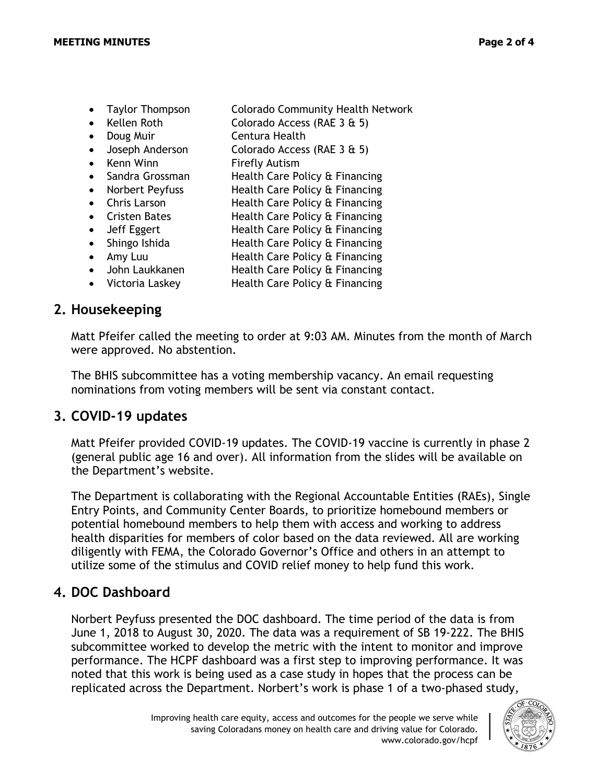- Taylor Thompson Colorado Community Health Network
- Kellen Roth Colorado Access (RAE 3 & 5)
- Doug Muir Centura Health
- Joseph Anderson Colorado Access (RAE 3 & 5)
- Kenn Winn Firefly Autism
- Sandra Grossman Health Care Policy & Financing
- Norbert Peyfuss Health Care Policy & Financing
- Chris Larson **Health Care Policy & Financing**
- Cristen Bates Health Care Policy & Financing
- Jeff Eggert Health Care Policy & Financing
- Shingo Ishida Health Care Policy & Financing
- Amy Luu Health Care Policy & Financing
- John Laukkanen Health Care Policy & Financing
- Victoria Laskey Health Care Policy & Financing

## **2. Housekeeping**

Matt Pfeifer called the meeting to order at 9:03 AM. Minutes from the month of March were approved. No abstention.

The BHIS subcommittee has a voting membership vacancy. An email requesting nominations from voting members will be sent via constant contact.

# **3. COVID-19 updates**

Matt Pfeifer provided COVID-19 updates. The COVID-19 vaccine is currently in phase 2 (general public age 16 and over). All information from the slides will be available on the Department's website.

The Department is collaborating with the Regional Accountable Entities (RAEs), Single Entry Points, and Community Center Boards, to prioritize homebound members or potential homebound members to help them with access and working to address health disparities for members of color based on the data reviewed. All are working diligently with FEMA, the Colorado Governor's Office and others in an attempt to utilize some of the stimulus and COVID relief money to help fund this work.

## **4. DOC Dashboard**

Norbert Peyfuss presented the DOC dashboard. The time period of the data is from June 1, 2018 to August 30, 2020. The data was a requirement of SB 19-222. The BHIS subcommittee worked to develop the metric with the intent to monitor and improve performance. The HCPF dashboard was a first step to improving performance. It was noted that this work is being used as a case study in hopes that the process can be replicated across the Department. Norbert's work is phase 1 of a two-phased study,

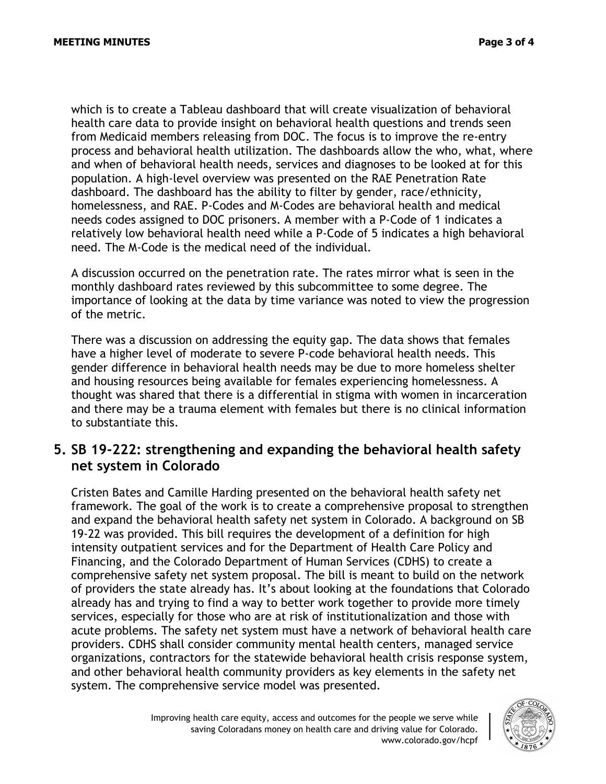which is to create a Tableau dashboard that will create visualization of behavioral health care data to provide insight on behavioral health questions and trends seen from Medicaid members releasing from DOC. The focus is to improve the re-entry process and behavioral health utilization. The dashboards allow the who, what, where and when of behavioral health needs, services and diagnoses to be looked at for this population. A high-level overview was presented on the RAE Penetration Rate dashboard. The dashboard has the ability to filter by gender, race/ethnicity, homelessness, and RAE. P-Codes and M-Codes are behavioral health and medical needs codes assigned to DOC prisoners. A member with a P-Code of 1 indicates a relatively low behavioral health need while a P-Code of 5 indicates a high behavioral need. The M-Code is the medical need of the individual.

A discussion occurred on the penetration rate. The rates mirror what is seen in the monthly dashboard rates reviewed by this subcommittee to some degree. The importance of looking at the data by time variance was noted to view the progression of the metric.

There was a discussion on addressing the equity gap. The data shows that females have a higher level of moderate to severe P-code behavioral health needs. This gender difference in behavioral health needs may be due to more homeless shelter and housing resources being available for females experiencing homelessness. A thought was shared that there is a differential in stigma with women in incarceration and there may be a trauma element with females but there is no clinical information to substantiate this.

### **5. SB 19-222: strengthening and expanding the behavioral health safety net system in Colorado**

Cristen Bates and Camille Harding presented on the behavioral health safety net framework. The goal of the work is to create a comprehensive proposal to strengthen and expand the behavioral health safety net system in Colorado. A background on SB 19-22 was provided. This bill requires the development of a definition for high intensity outpatient services and for the Department of Health Care Policy and Financing, and the Colorado Department of Human Services (CDHS) to create a comprehensive safety net system proposal. The bill is meant to build on the network of providers the state already has. It's about looking at the foundations that Colorado already has and trying to find a way to better work together to provide more timely services, especially for those who are at risk of institutionalization and those with acute problems. The safety net system must have a network of behavioral health care providers. CDHS shall consider community mental health centers, managed service organizations, contractors for the statewide behavioral health crisis response system, and other behavioral health community providers as key elements in the safety net system. The comprehensive service model was presented.